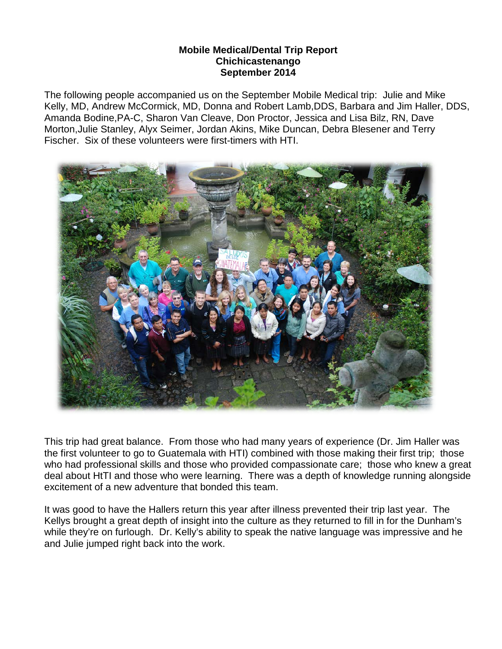## **Mobile Medical/Dental Trip Report Chichicastenango September 2014**

The following people accompanied us on the September Mobile Medical trip: Julie and Mike Kelly, MD, Andrew McCormick, MD, Donna and Robert Lamb,DDS, Barbara and Jim Haller, DDS, Amanda Bodine,PA-C, Sharon Van Cleave, Don Proctor, Jessica and Lisa Bilz, RN, Dave Morton,Julie Stanley, Alyx Seimer, Jordan Akins, Mike Duncan, Debra Blesener and Terry Fischer. Six of these volunteers were first-timers with HTI.



This trip had great balance. From those who had many years of experience (Dr. Jim Haller was the first volunteer to go to Guatemala with HTI) combined with those making their first trip; those who had professional skills and those who provided compassionate care; those who knew a great deal about HtTI and those who were learning. There was a depth of knowledge running alongside excitement of a new adventure that bonded this team.

It was good to have the Hallers return this year after illness prevented their trip last year. The Kellys brought a great depth of insight into the culture as they returned to fill in for the Dunham's while they're on furlough. Dr. Kelly's ability to speak the native language was impressive and he and Julie jumped right back into the work.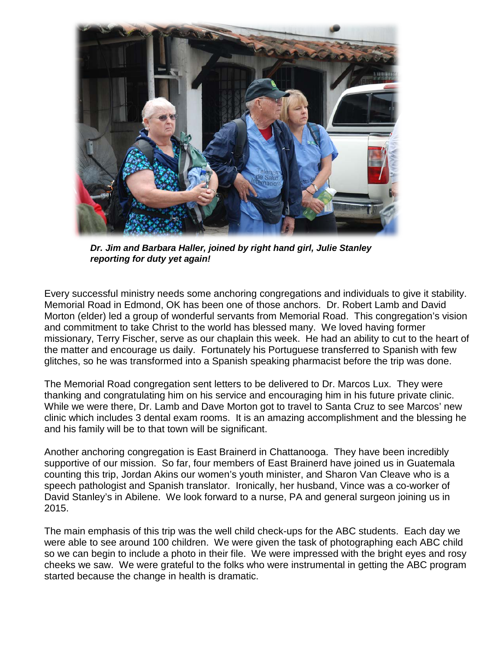

*Dr. Jim and Barbara Haller, joined by right hand girl, Julie Stanley reporting for duty yet again!*

Every successful ministry needs some anchoring congregations and individuals to give it stability. Memorial Road in Edmond, OK has been one of those anchors. Dr. Robert Lamb and David Morton (elder) led a group of wonderful servants from Memorial Road. This congregation's vision and commitment to take Christ to the world has blessed many. We loved having former missionary, Terry Fischer, serve as our chaplain this week. He had an ability to cut to the heart of the matter and encourage us daily. Fortunately his Portuguese transferred to Spanish with few glitches, so he was transformed into a Spanish speaking pharmacist before the trip was done.

The Memorial Road congregation sent letters to be delivered to Dr. Marcos Lux. They were thanking and congratulating him on his service and encouraging him in his future private clinic. While we were there, Dr. Lamb and Dave Morton got to travel to Santa Cruz to see Marcos' new clinic which includes 3 dental exam rooms. It is an amazing accomplishment and the blessing he and his family will be to that town will be significant.

Another anchoring congregation is East Brainerd in Chattanooga. They have been incredibly supportive of our mission. So far, four members of East Brainerd have joined us in Guatemala counting this trip, Jordan Akins our women's youth minister, and Sharon Van Cleave who is a speech pathologist and Spanish translator. Ironically, her husband, Vince was a co-worker of David Stanley's in Abilene. We look forward to a nurse, PA and general surgeon joining us in 2015.

The main emphasis of this trip was the well child check-ups for the ABC students. Each day we were able to see around 100 children. We were given the task of photographing each ABC child so we can begin to include a photo in their file. We were impressed with the bright eyes and rosy cheeks we saw. We were grateful to the folks who were instrumental in getting the ABC program started because the change in health is dramatic.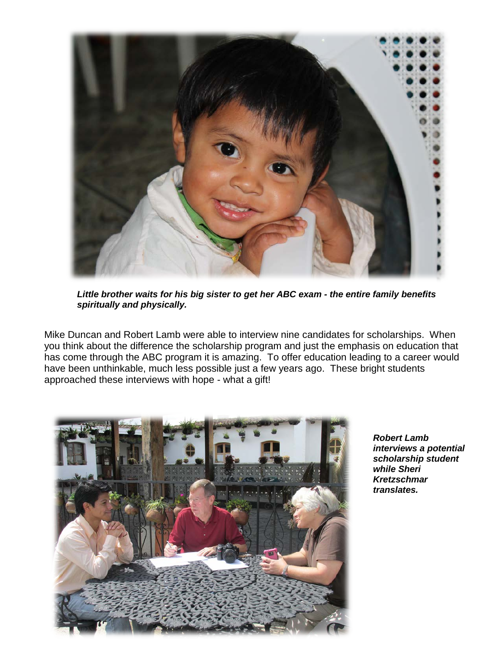

*Little brother waits for his big sister to get her ABC exam - the entire family benefits spiritually and physically.*

Mike Duncan and Robert Lamb were able to interview nine candidates for scholarships. When you think about the difference the scholarship program and just the emphasis on education that has come through the ABC program it is amazing. To offer education leading to a career would have been unthinkable, much less possible just a few years ago. These bright students approached these interviews with hope - what a gift!



*Robert Lamb interviews a potential scholarship student while Sheri Kretzschmar translates.*